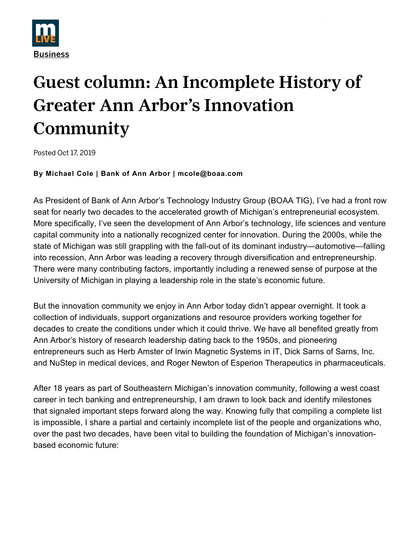

# Guest column: An Incomplete History of Greater Ann Arbor's Innovation **Community**

Posted Oct 17, 2019

**By Michael Cole | Bank of Ann Arbor | mcole@boaa.com**

As President of Bank of [Ann Arbor's Technology Industry Group \(BOAA TIG\),](https://www.bankofannarbor.com/business/banking-by-industry/index.aspx) I've had a front row seat for nearly two decades to the accelerated growth of Michigan's entrepreneurial ecosystem. More specifically, I've seen the development of Ann Arbor's technology, life sciences and venture capital community into a nationally recognized center for innovation. During the 2000s, while the state of Michigan was still grappling with the fall-out of its dominant industry—automotive—falling into recession, Ann Arbor was leading a recovery through diversification and entrepreneurship. There were many contributing factors, importantly including a renewed sense of purpose at the University of Michigan in playing a leadership role in the state's economic future.

But the innovation community we enjoy in Ann Arbor today didn't appear overnight. It took a collection of individuals, support organizations and resource providers working together for decades to create the conditions under which it could thrive. We have all benefited greatly from Ann Arbor's history of research leadership dating back to the 1950s, and pioneering entrepreneurs such as Herb Amster of Irwin Magnetic Systems in IT, Dick Sarns of Sarns, Inc. and NuStep in medical devices, and Roger Newton of Esperion Therapeutics in pharmaceuticals.

After 18 years as part of Southeastern Michigan's innovation community, following a west coast career in tech banking and entrepreneurship, I am drawn to look back and identify milestones that signaled important steps forward along the way. Knowing fully that compiling a complete list is impossible, I share a partial and certainly incomplete list of the people and organizations who, over the past two decades, have been vital to building the foundation of Michigan's innovationbased economic future: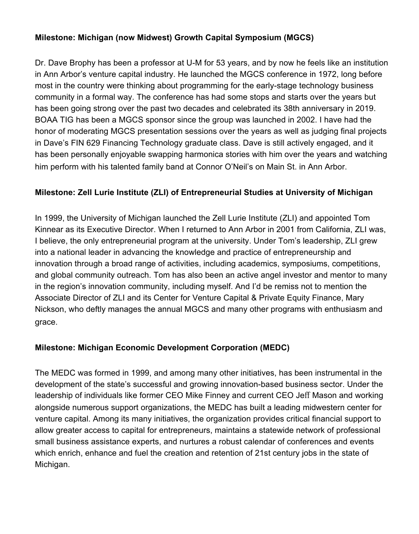# **Milestone: Michigan (now Midwest) Growth Capital Symposium (MGCS)**

Dr. Dave Brophy has been a professor at U-M for 53 years, and by now he feels like an institution in Ann Arbor's venture capital industry. He launched the MGCS conference in 1972, long before most in the country were thinking about programming for the early-stage technology business community in a formal way. The conference has had some stops and starts over the years but has been going strong over the past two decades and celebrated its 38th anniversary in 2019. BOAA TIG has been a MGCS sponsor since the group was launched in 2002. I have had the honor of moderating MGCS presentation sessions over the years as well as judging final projects in Dave's FIN 629 Financing Technology graduate class. Dave is still actively engaged, and it has been personally enjoyable swapping harmonica stories with him over the years and watching him perform with his talented family band at Connor O'Neil's on Main St. in Ann Arbor.

## **Milestone: Zell Lurie Institute (ZLI) of Entrepreneurial Studies at University of Michigan**

In 1999, the University of Michigan launched the Zell Lurie Institute (ZLI) and appointed Tom Kinnear as its Executive Director. When I returned to Ann Arbor in 2001 from California, ZLI was, I believe, the only entrepreneurial program at the university. Under Tom's leadership, ZLI grew into a national leader in advancing the knowledge and practice of entrepreneurship and innovation through a broad range of activities, including academics, symposiums, competitions, and global community outreach. Tom has also been an active angel investor and mentor to many in the region's innovation community, including myself. And I'd be remiss not to mention the Associate Director of ZLI and its Center for Venture Capital & Private Equity Finance, Mary Nickson, who deftly manages the annual MGCS and many other programs with enthusiasm and grace.

## **Milestone: Michigan Economic Development Corporation (MEDC)**

The MEDC was formed in 1999, and among many other initiatives, has been instrumental in the development of the state's successful and growing innovation-based business sector. Under the leadership of individuals like former CEO Mike Finney and current CEO Jeff Mason and working alongside numerous support organizations, the MEDC has built a leading midwestern center for venture capital. Among its many initiatives, the organization provides critical financial support to allow greater access to capital for entrepreneurs, maintains a statewide network of professional small business assistance experts, and nurtures a robust calendar of conferences and events which enrich, enhance and fuel the creation and retention of 21st century jobs in the state of Michigan.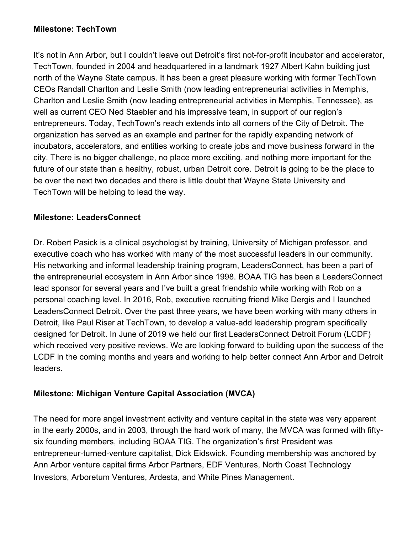#### **Milestone: TechTown**

It's not in Ann Arbor, but I couldn't leave out Detroit's first not-for-profit incubator and accelerator, TechTown, founded in 2004 and headquartered in a landmark 1927 Albert Kahn building just north of the Wayne State campus. It has been a great pleasure working with former TechTown CEOs Randall Charlton and Leslie Smith (now leading entrepreneurial activities in Memphis, Charlton and Leslie Smith (now leading entrepreneurial activities in Memphis, Tennessee), as well as current CEO Ned Staebler and his impressive team, in support of our region's entrepreneurs. Today, TechTown's reach extends into all corners of the City of Detroit. The organization has served as an example and partner for the rapidly expanding network of incubators, accelerators, and entities working to create jobs and move business forward in the city. There is no bigger challenge, no place more exciting, and nothing more important for the future of our state than a healthy, robust, urban Detroit core. Detroit is going to be the place to be over the next two decades and there is little doubt that Wayne State University and TechTown will be helping to lead the way.

#### **Milestone: LeadersConnect**

Dr. Robert Pasick is a clinical psychologist by training, University of Michigan professor, and executive coach who has worked with many of the most successful leaders in our community. His networking and informal leadership training program, LeadersConnect, has been a part of the entrepreneurial ecosystem in Ann Arbor since 1998. BOAA TIG has been a LeadersConnect lead sponsor for several years and I've built a great friendship while working with Rob on a personal coaching level. In 2016, Rob, executive recruiting friend Mike Dergis and I launched LeadersConnect Detroit. Over the past three years, we have been working with many others in Detroit, like Paul Riser at TechTown, to develop a value-add leadership program specifically designed for Detroit. In June of 2019 we held our first LeadersConnect Detroit Forum (LCDF) which received very positive reviews. We are looking forward to building upon the success of the LCDF in the coming months and years and working to help better connect Ann Arbor and Detroit leaders.

## **Milestone: Michigan Venture Capital Association (MVCA)**

The need for more angel investment activity and venture capital in the state was very apparent in the early 2000s, and in 2003, through the hard work of many, the MVCA was formed with fiftysix founding members, including BOAA TIG. The organization's first President was entrepreneur-turned-venture capitalist, Dick Eidswick. Founding membership was anchored by Ann Arbor venture capital firms Arbor Partners, EDF Ventures, North Coast Technology Investors, Arboretum Ventures, Ardesta, and White Pines Management.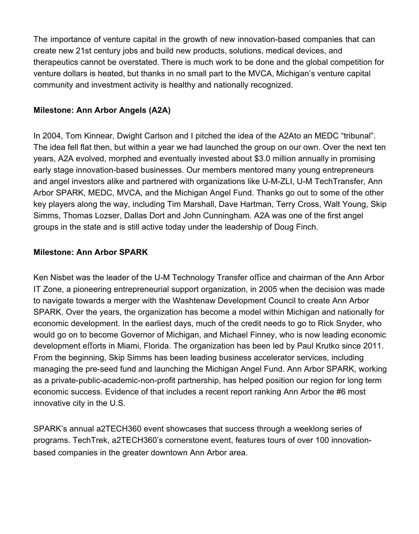The importance of venture capital in the growth of new innovation-based companies that can create new 21st century jobs and build new products, solutions, medical devices, and therapeutics cannot be overstated. There is much work to be done and the global competition for venture dollars is heated, but thanks in no small part to the MVCA, Michigan's venture capital community and investment activity is healthy and nationally recognized.

### **Milestone: Ann Arbor Angels (A2A)**

In 2004, Tom Kinnear, Dwight Carlson and I pitched the idea of the A2Ato an MEDC "tribunal". The idea fell flat then, but within a year we had launched the group on our own. Over the next ten years, A2A evolved, morphed and eventually invested about \$3.0 million annually in promising early stage innovation-based businesses. Our members mentored many young entrepreneurs and angel investors alike and partnered with organizations like U-M-ZLI, U-M TechTransfer, Ann Arbor SPARK, MEDC, MVCA, and the Michigan Angel Fund. Thanks go out to some of the other key players along the way, including Tim Marshall, Dave Hartman, Terry Cross, Walt Young, Skip Simms, Thomas Lozser, Dallas Dort and John Cunningham. A2A was one of the first angel groups in the state and is still active today under the leadership of Doug Finch.

#### **Milestone: Ann Arbor SPARK**

Ken Nisbet was the leader of the U-M Technology Transfer office and chairman of the Ann Arbor IT Zone, a pioneering entrepreneurial support organization, in 2005 when the decision was made to navigate towards a merger with the Washtenaw Development Council to create Ann Arbor SPARK. Over the years, the organization has become a model within Michigan and nationally for economic development. In the earliest days, much of the credit needs to go to Rick Snyder, who would go on to become Governor of Michigan, and Michael Finney, who is now leading economic development efforts in Miami, Florida. The organization has been led by Paul Krutko since 2011. From the beginning, Skip Simms has been leading business accelerator services, including managing the pre-seed fund and launching the Michigan Angel Fund. Ann Arbor SPARK, working as a private-public-academic-non-profit partnership, has helped position our region for long term economic success. Evidence of that includes a recent report ranking Ann Arbor the #6 most innovative city in the U.S.

SPARK's annual a2TECH360 event showcases that success through a weeklong series of programs. TechTrek, a2TECH360's cornerstone event, features tours of over 100 innovationbased companies in the greater downtown Ann Arbor area.